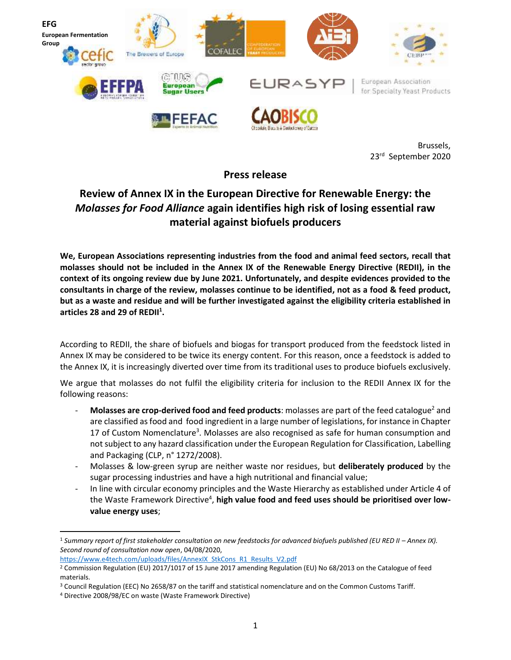

Brussels, 23rd September 2020

**Press release**

## **Review of Annex IX in the European Directive for Renewable Energy: the**  *Molasses for Food Alliance* **again identifies high risk of losing essential raw material against biofuels producers**

**We, European Associations representing industries from the food and animal feed sectors, recall that molasses should not be included in the Annex IX of the Renewable Energy Directive (REDII), in the context of its ongoing review due by June 2021. Unfortunately, and despite evidences provided to the consultants in charge of the review, molasses continue to be identified, not as a food & feed product, but as a waste and residue and will be further investigated against the eligibility criteria established in articles 28 and 29 of REDII<sup>1</sup> .**

According to REDII, the share of biofuels and biogas for transport produced from the feedstock listed in Annex IX may be considered to be twice its energy content. For this reason, once a feedstock is added to the Annex IX, it is increasingly diverted over time from its traditional uses to produce biofuels exclusively.

We argue that molasses do not fulfil the eligibility criteria for inclusion to the REDII Annex IX for the following reasons:

- **Molasses are crop-derived food and feed products**: molasses are part of the feed catalogue<sup>2</sup> and are classified as food and food ingredient in a large number of legislations, for instance in Chapter 17 of Custom Nomenclature<sup>3</sup>. Molasses are also recognised as safe for human consumption and not subject to any hazard classification under the European Regulation for Classification, Labelling and Packaging (CLP, n° 1272/2008).
- Molasses & low-green syrup are neither waste nor residues, but **deliberately produced** by the sugar processing industries and have a high nutritional and financial value;
- In line with circular economy principles and the Waste Hierarchy as established under Article 4 of the Waste Framework Directive<sup>4</sup>, **high value food and feed uses should be prioritised over lowvalue energy uses**;

<sup>&</sup>lt;sup>1</sup> Summary report of first stakeholder consultation on new feedstocks for advanced biofuels published (EU RED II - Annex IX). *Second round of consultation now open*, 04/08/2020,

[https://www.e4tech.com/uploads/files/AnnexIX\\_StkCons\\_R1\\_Results\\_V2.pdf](https://www.e4tech.com/uploads/files/AnnexIX_StkCons_R1_Results_V2.pdf)

<sup>&</sup>lt;sup>2</sup> Commission Regulation (EU) 2017/1017 of 15 June 2017 amending Regulation (EU) No 68/2013 on the Catalogue of feed materials.

<sup>3</sup> Council Regulation (EEC) No 2658/87 on the tariff and statistical nomenclature and on the Common Customs Tariff.

<sup>4</sup> Directive 2008/98/EC on waste (Waste Framework Directive)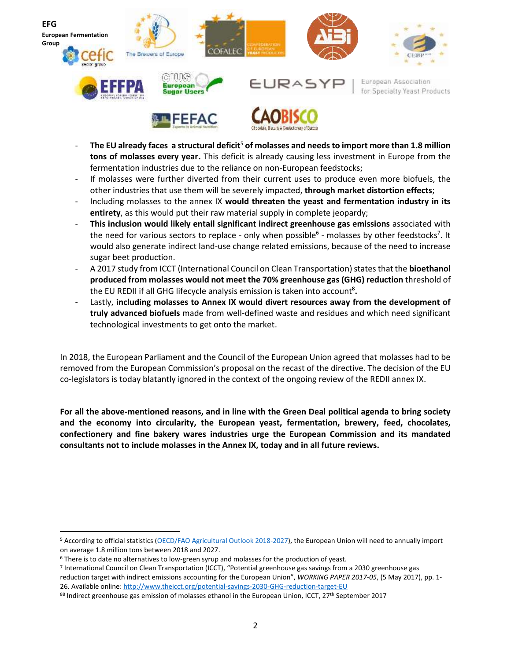

- **The EU already faces a structural deficit**<sup>5</sup> **of molasses and needs to import more than 1.8 million tons of molasses every year.** This deficit is already causing less investment in Europe from the fermentation industries due to the reliance on non-European feedstocks;
- If molasses were further diverted from their current uses to produce even more biofuels, the other industries that use them will be severely impacted, **through market distortion effects**;
- Including molasses to the annex IX **would threaten the yeast and fermentation industry in its entirety**, as this would put their raw material supply in complete jeopardy;
- **This inclusion would likely entail significant indirect greenhouse gas emissions** associated with the need for various sectors to replace - only when possible<sup>6</sup> - molasses by other feedstocks<sup>7</sup>. It would also generate indirect land-use change related emissions, because of the need to increase sugar beet production.
- A 2017 study from ICCT (International Council on Clean Transportation) states that the **bioethanol produced from molasses would not meet the 70% greenhouse gas (GHG) reduction** threshold of the EU REDII if all GHG lifecycle analysis emission is taken into account**<sup>8</sup> .**
- Lastly, **including molasses to Annex IX would divert resources away from the development of truly advanced biofuels** made from well-defined waste and residues and which need significant technological investments to get onto the market.

In 2018, the European Parliament and the Council of the European Union agreed that molasses had to be removed from the European Commission's proposal on the recast of the directive. The decision of the EU co-legislators is today blatantly ignored in the context of the ongoing review of the REDII annex IX.

**For all the above-mentioned reasons, and in line with the Green Deal political agenda to bring society and the economy into circularity, the European yeast, fermentation, brewery, feed, chocolates, confectionery and fine bakery wares industries urge the European Commission and its mandated consultants not to include molasses in the Annex IX, today and in all future reviews.** 

<sup>&</sup>lt;sup>5</sup> According to official statistics [\(OECD/FAO Agricultural Outlook 2018-2027\)](https://www.oecd-ilibrary.org/agriculture-and-food/oecd-fao-agricultural-outlook-2018-2027_agr_outlook-2018-en), the European Union will need to annually import on average 1.8 million tons between 2018 and 2027.

<sup>&</sup>lt;sup>6</sup> There is to date no alternatives to low-green syrup and molasses for the production of yeast.

<sup>7</sup> International Council on Clean Transportation (ICCT), "Potential greenhouse gas savings from a 2030 greenhouse gas reduction target with indirect emissions accounting for the European Union", *WORKING PAPER 2017-05*, (5 May 2017), pp. 1- 26. Available online:<http://www.theicct.org/potential-savings-2030-GHG-reduction-target-EU>

<sup>&</sup>lt;sup>88</sup> Indirect greenhouse gas emission of molasses ethanol in the European Union, ICCT, 27<sup>th</sup> September 2017